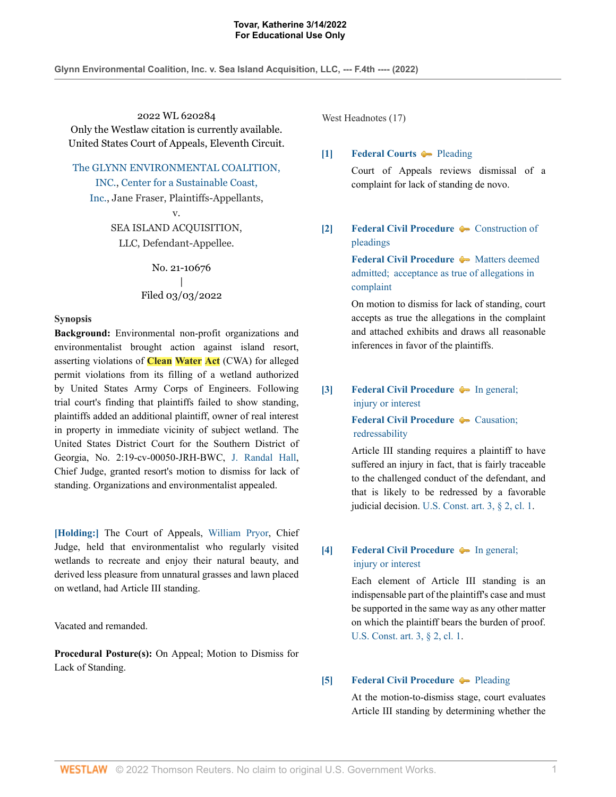**Glynn Environmental Coalition, Inc. v. Sea Island Acquisition, LLC, --- F.4th ---- (2022)**

2022 WL 620284 Only the Westlaw citation is currently available. United States Court of Appeals, Eleventh Circuit.

The GLYNN ENVIRONMENTAL COALITION,

INC., Center for a Sustainable Coast, Inc., Jane Fraser, Plaintiffs-Appellants,

> v. SEA ISLAND ACQUISITION, LLC, Defendant-Appellee.

> > No. 21-10676 | Filed 03/03/2022

### **Synopsis**

**Background:** Environmental non-profit organizations and environmentalist brought action against island resort, asserting violations of **Clean Water Act** (CWA) for alleged permit violations from its filling of a wetland authorized by United States Army Corps of Engineers. Following trial court's finding that plaintiffs failed to show standing, plaintiffs added an additional plaintiff, owner of real interest in property in immediate vicinity of subject wetland. The United States District Court for the Southern District of Georgia, No. 2:19-cv-00050-JRH-BWC, J. Randal Hall, Chief Judge, granted resort's motion to dismiss for lack of standing. Organizations and environmentalist appealed.

**[Holding:]** The Court of Appeals, William Pryor, Chief Judge, held that environmentalist who regularly visited wetlands to recreate and enjoy their natural beauty, and derived less pleasure from unnatural grasses and lawn placed on wetland, had Article III standing.

Vacated and remanded.

**Procedural Posture(s):** On Appeal; Motion to Dismiss for Lack of Standing.

West Headnotes (17)

## **[1] Federal Courts Pleading**

Court of Appeals reviews dismissal of a complaint for lack of standing de novo.

# **[2] Federal Civil Procedure**  $\rightarrow$  Construction of pleadings

**Federal Civil Procedure**  $\rightarrow$  Matters deemed admitted;  acceptance as true of allegations in complaint

On motion to dismiss for lack of standing, court accepts as true the allegations in the complaint and attached exhibits and draws all reasonable inferences in favor of the plaintiffs.

# **[3] Federal Civil Procedure**  $\bullet$  In general;  injury or interest

**Federal Civil Procedure • Causation;**  redressability

Article III standing requires a plaintiff to have suffered an injury in fact, that is fairly traceable to the challenged conduct of the defendant, and that is likely to be redressed by a favorable judicial decision. U.S. Const. art. 3, § 2, cl. 1.

# **[4] Federal Civil Procedure**  $\bullet$  In general;  injury or interest

Each element of Article III standing is an indispensable part of the plaintiff's case and must be supported in the same way as any other matter on which the plaintiff bears the burden of proof. U.S. Const. art. 3, § 2, cl. 1.

### **[5] Federal Civil Procedure**  $\blacklozenge$  **Pleading**

At the motion-to-dismiss stage, court evaluates Article III standing by determining whether the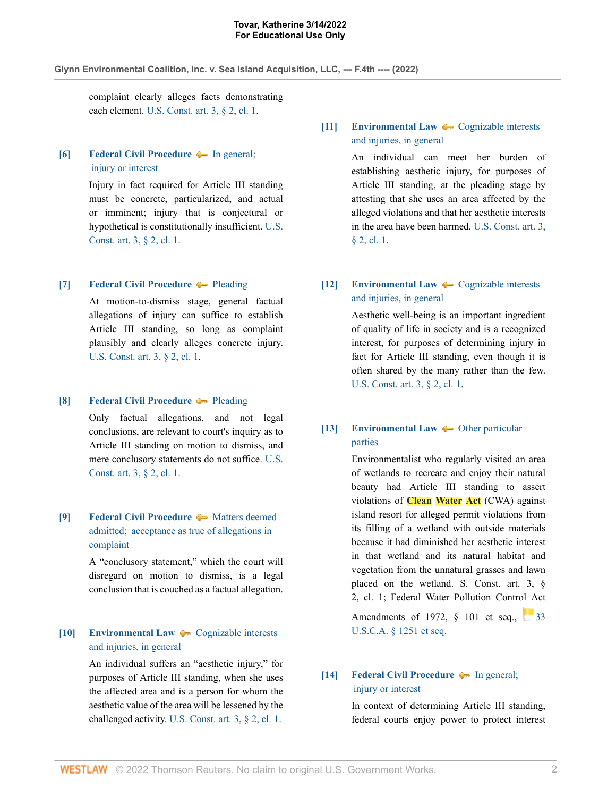#### **Glynn Environmental Coalition, Inc. v. Sea Island Acquisition, LLC, --- F.4th ---- (2022)**

complaint clearly alleges facts demonstrating each element. U.S. Const. art. 3, § 2, cl. 1.

# **[6] Federal Civil Procedure**  $\bullet$  In general;  injury or interest

Injury in fact required for Article III standing must be concrete, particularized, and actual or imminent; injury that is conjectural or hypothetical is constitutionally insufficient. U.S. Const. art. 3, § 2, cl. 1.

### **[7] Federal Civil Procedure**  $\blacklozenge$  **Pleading**

At motion-to-dismiss stage, general factual allegations of injury can suffice to establish Article III standing, so long as complaint plausibly and clearly alleges concrete injury. U.S. Const. art. 3, § 2, cl. 1.

### **[8] Federal Civil Procedure** Pleading

Only factual allegations, and not legal conclusions, are relevant to court's inquiry as to Article III standing on motion to dismiss, and mere conclusory statements do not suffice. U.S. Const. art. 3, § 2, cl. 1.

# **[9] Federal Civil Procedure**  $\bullet$  Matters deemed admitted;  acceptance as true of allegations in complaint

A "conclusory statement," which the court will disregard on motion to dismiss, is a legal conclusion that is couched as a factual allegation.

# **[10] Environmental Law**  $\rightarrow$  Cognizable interests and injuries, in general

An individual suffers an "aesthetic injury," for purposes of Article III standing, when she uses the affected area and is a person for whom the aesthetic value of the area will be lessened by the challenged activity. U.S. Const. art. 3, § 2, cl. 1.

# **[11] Environmental Law**  $\leftarrow$  Cognizable interests and injuries, in general

An individual can meet her burden of establishing aesthetic injury, for purposes of Article III standing, at the pleading stage by attesting that she uses an area affected by the alleged violations and that her aesthetic interests in the area have been harmed. U.S. Const. art. 3, § 2, cl. 1.

# **[12] Environmental Law**  $\bullet$  **Cognizable interests** and injuries, in general

Aesthetic well-being is an important ingredient of quality of life in society and is a recognized interest, for purposes of determining injury in fact for Article III standing, even though it is often shared by the many rather than the few. U.S. Const. art. 3, § 2, cl. 1.

# **[13] Environmental Law**  $\rightarrow$  Other particular parties

Environmentalist who regularly visited an area of wetlands to recreate and enjoy their natural beauty had Article III standing to assert violations of **Clean Water Act** (CWA) against island resort for alleged permit violations from its filling of a wetland with outside materials because it had diminished her aesthetic interest in that wetland and its natural habitat and vegetation from the unnatural grasses and lawn placed on the wetland. S. Const. art. 3, § 2, cl. 1; Federal Water Pollution Control Act

Amendments of 1972, § 101 et seq., 33 U.S.C.A. § 1251 et seq.

# **[14] Federal Civil Procedure**  $\bullet$  In general;  injury or interest

In context of determining Article III standing, federal courts enjoy power to protect interest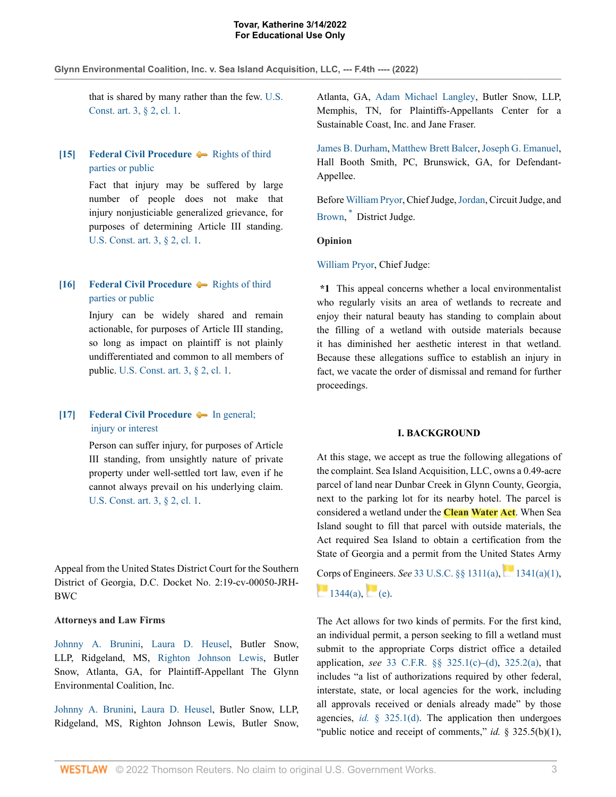### **Glynn Environmental Coalition, Inc. v. Sea Island Acquisition, LLC, --- F.4th ---- (2022)**

that is shared by many rather than the few. U.S. Const. art. 3, § 2, cl. 1.

# **[15] Federal Civil Procedure**  $\blacklozenge$  **Rights of third** parties or public

Fact that injury may be suffered by large number of people does not make that injury nonjusticiable generalized grievance, for purposes of determining Article III standing. U.S. Const. art. 3, § 2, cl. 1.

# **[16] Federal Civil Procedure**  $\blacklozenge$  Rights of third parties or public

Injury can be widely shared and remain actionable, for purposes of Article III standing, so long as impact on plaintiff is not plainly undifferentiated and common to all members of public. U.S. Const. art. 3, § 2, cl. 1.

# **[17] Federal Civil Procedure**  $\bullet$  In general;  injury or interest

Person can suffer injury, for purposes of Article III standing, from unsightly nature of private property under well-settled tort law, even if he cannot always prevail on his underlying claim. U.S. Const. art. 3, § 2, cl. 1.

Appeal from the United States District Court for the Southern District of Georgia, D.C. Docket No. 2:19-cv-00050-JRH-BWC

## **Attorneys and Law Firms**

Johnny A. Brunini, Laura D. Heusel, Butler Snow, LLP, Ridgeland, MS, Righton Johnson Lewis, Butler Snow, Atlanta, GA, for Plaintiff-Appellant The Glynn Environmental Coalition, Inc.

Johnny A. Brunini, Laura D. Heusel, Butler Snow, LLP, Ridgeland, MS, Righton Johnson Lewis, Butler Snow, Atlanta, GA, Adam Michael Langley, Butler Snow, LLP, Memphis, TN, for Plaintiffs-Appellants Center for a Sustainable Coast, Inc. and Jane Fraser.

James B. Durham, Matthew Brett Balcer, Joseph G. Emanuel, Hall Booth Smith, PC, Brunswick, GA, for Defendant-Appellee.

Before William Pryor, Chief Judge, Jordan, Circuit Judge, and Brown, \* District Judge.

### **Opinion**

## William Pryor, Chief Judge:

**\*1** This appeal concerns whether a local environmentalist who regularly visits an area of wetlands to recreate and enjoy their natural beauty has standing to complain about the filling of a wetland with outside materials because it has diminished her aesthetic interest in that wetland. Because these allegations suffice to establish an injury in fact, we vacate the order of dismissal and remand for further proceedings.

#### **I. BACKGROUND**

At this stage, we accept as true the following allegations of the complaint. Sea Island Acquisition, LLC, owns a 0.49-acre parcel of land near Dunbar Creek in Glynn County, Georgia, next to the parking lot for its nearby hotel. The parcel is considered a wetland under the **Clean Water Act**. When Sea Island sought to fill that parcel with outside materials, the Act required Sea Island to obtain a certification from the State of Georgia and a permit from the United States Army

Corps of Engineers. *See* 33 U.S.C. §§ 1311(a), 1341(a)(1),  $1344(a)$ , (e).

The Act allows for two kinds of permits. For the first kind, an individual permit, a person seeking to fill a wetland must submit to the appropriate Corps district office a detailed application, *see* 33 C.F.R. §§ 325.1(c)–(d), 325.2(a), that includes "a list of authorizations required by other federal, interstate, state, or local agencies for the work, including all approvals received or denials already made" by those agencies, *id.* § 325.1(d). The application then undergoes "public notice and receipt of comments," *id.* § 325.5(b)(1),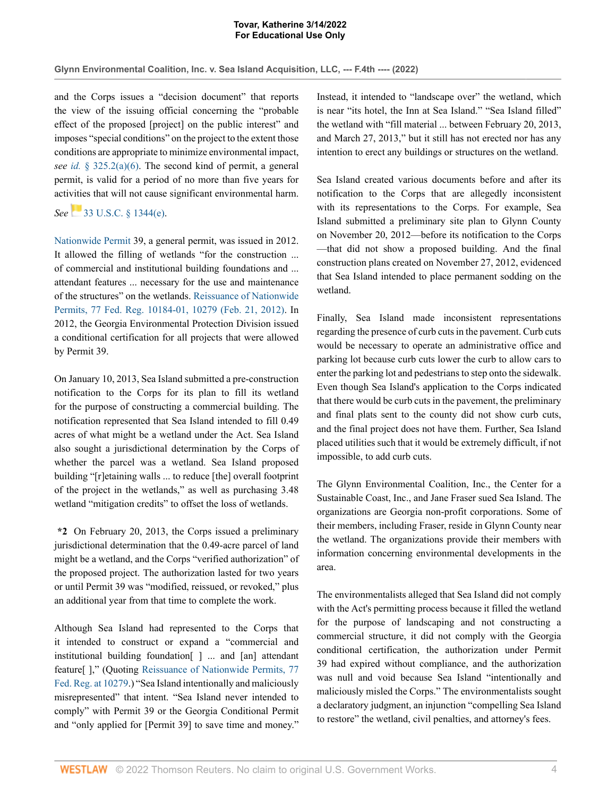**Glynn Environmental Coalition, Inc. v. Sea Island Acquisition, LLC, --- F.4th ---- (2022)**

and the Corps issues a "decision document" that reports the view of the issuing official concerning the "probable effect of the proposed [project] on the public interest" and imposes "special conditions" on the project to the extent those conditions are appropriate to minimize environmental impact, *see id.* § 325.2(a)(6). The second kind of permit, a general permit, is valid for a period of no more than five years for activities that will not cause significant environmental harm.

# *See* 33 U.S.C. § 1344(e).

Nationwide Permit 39, a general permit, was issued in 2012. It allowed the filling of wetlands "for the construction ... of commercial and institutional building foundations and ... attendant features ... necessary for the use and maintenance of the structures" on the wetlands. Reissuance of Nationwide Permits, 77 Fed. Reg. 10184-01, 10279 (Feb. 21, 2012). In 2012, the Georgia Environmental Protection Division issued a conditional certification for all projects that were allowed by Permit 39.

On January 10, 2013, Sea Island submitted a pre-construction notification to the Corps for its plan to fill its wetland for the purpose of constructing a commercial building. The notification represented that Sea Island intended to fill 0.49 acres of what might be a wetland under the Act. Sea Island also sought a jurisdictional determination by the Corps of whether the parcel was a wetland. Sea Island proposed building "[r]etaining walls ... to reduce [the] overall footprint of the project in the wetlands," as well as purchasing 3.48 wetland "mitigation credits" to offset the loss of wetlands.

**\*2** On February 20, 2013, the Corps issued a preliminary jurisdictional determination that the 0.49-acre parcel of land might be a wetland, and the Corps "verified authorization" of the proposed project. The authorization lasted for two years or until Permit 39 was "modified, reissued, or revoked," plus an additional year from that time to complete the work.

Although Sea Island had represented to the Corps that it intended to construct or expand a "commercial and institutional building foundation[ ] ... and [an] attendant feature[ ]," (Quoting Reissuance of Nationwide Permits, 77 Fed. Reg. at 10279.) "Sea Island intentionally and maliciously misrepresented" that intent. "Sea Island never intended to comply" with Permit 39 or the Georgia Conditional Permit and "only applied for [Permit 39] to save time and money." Instead, it intended to "landscape over" the wetland, which is near "its hotel, the Inn at Sea Island." "Sea Island filled" the wetland with "fill material ... between February 20, 2013, and March 27, 2013," but it still has not erected nor has any intention to erect any buildings or structures on the wetland.

Sea Island created various documents before and after its notification to the Corps that are allegedly inconsistent with its representations to the Corps. For example, Sea Island submitted a preliminary site plan to Glynn County on November 20, 2012—before its notification to the Corps —that did not show a proposed building. And the final construction plans created on November 27, 2012, evidenced that Sea Island intended to place permanent sodding on the wetland.

Finally, Sea Island made inconsistent representations regarding the presence of curb cuts in the pavement. Curb cuts would be necessary to operate an administrative office and parking lot because curb cuts lower the curb to allow cars to enter the parking lot and pedestrians to step onto the sidewalk. Even though Sea Island's application to the Corps indicated that there would be curb cuts in the pavement, the preliminary and final plats sent to the county did not show curb cuts, and the final project does not have them. Further, Sea Island placed utilities such that it would be extremely difficult, if not impossible, to add curb cuts.

The Glynn Environmental Coalition, Inc., the Center for a Sustainable Coast, Inc., and Jane Fraser sued Sea Island. The organizations are Georgia non-profit corporations. Some of their members, including Fraser, reside in Glynn County near the wetland. The organizations provide their members with information concerning environmental developments in the area.

The environmentalists alleged that Sea Island did not comply with the Act's permitting process because it filled the wetland for the purpose of landscaping and not constructing a commercial structure, it did not comply with the Georgia conditional certification, the authorization under Permit 39 had expired without compliance, and the authorization was null and void because Sea Island "intentionally and maliciously misled the Corps." The environmentalists sought a declaratory judgment, an injunction "compelling Sea Island to restore" the wetland, civil penalties, and attorney's fees.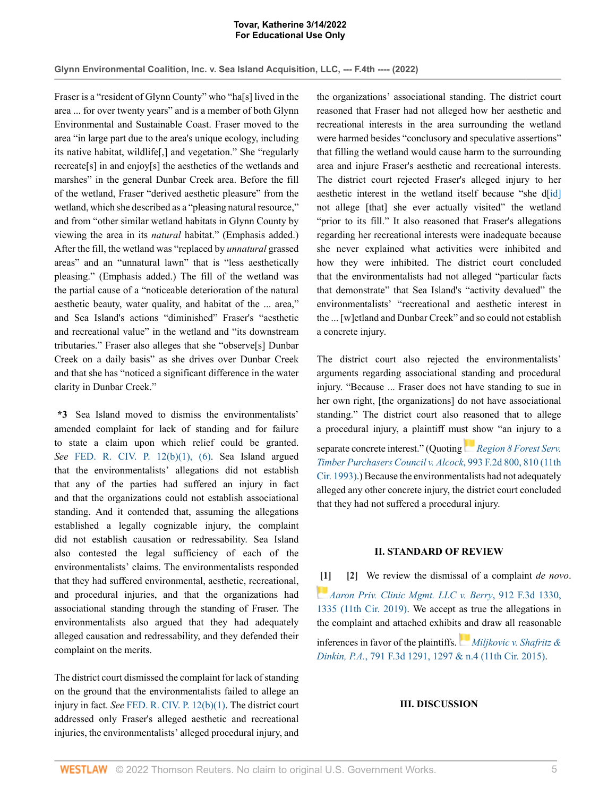**Glynn Environmental Coalition, Inc. v. Sea Island Acquisition, LLC, --- F.4th ---- (2022)**

Fraser is a "resident of Glynn County" who "ha[s] lived in the area ... for over twenty years" and is a member of both Glynn Environmental and Sustainable Coast. Fraser moved to the area "in large part due to the area's unique ecology, including its native habitat, wildlife[,] and vegetation." She "regularly recreate[s] in and enjoy[s] the aesthetics of the wetlands and marshes" in the general Dunbar Creek area. Before the fill of the wetland, Fraser "derived aesthetic pleasure" from the wetland, which she described as a "pleasing natural resource," and from "other similar wetland habitats in Glynn County by viewing the area in its *natural* habitat." (Emphasis added.) After the fill, the wetland was "replaced by *unnatural* grassed areas" and an "unnatural lawn" that is "less aesthetically pleasing." (Emphasis added.) The fill of the wetland was the partial cause of a "noticeable deterioration of the natural aesthetic beauty, water quality, and habitat of the ... area," and Sea Island's actions "diminished" Fraser's "aesthetic and recreational value" in the wetland and "its downstream tributaries." Fraser also alleges that she "observe[s] Dunbar Creek on a daily basis" as she drives over Dunbar Creek and that she has "noticed a significant difference in the water clarity in Dunbar Creek."

**\*3** Sea Island moved to dismiss the environmentalists' amended complaint for lack of standing and for failure to state a claim upon which relief could be granted. *See* FED. R. CIV. P. 12(b)(1), (6). Sea Island argued that the environmentalists' allegations did not establish that any of the parties had suffered an injury in fact and that the organizations could not establish associational standing. And it contended that, assuming the allegations established a legally cognizable injury, the complaint did not establish causation or redressability. Sea Island also contested the legal sufficiency of each of the environmentalists' claims. The environmentalists responded that they had suffered environmental, aesthetic, recreational, and procedural injuries, and that the organizations had associational standing through the standing of Fraser. The environmentalists also argued that they had adequately alleged causation and redressability, and they defended their complaint on the merits.

The district court dismissed the complaint for lack of standing on the ground that the environmentalists failed to allege an injury in fact. *See* FED. R. CIV. P. 12(b)(1). The district court addressed only Fraser's alleged aesthetic and recreational injuries, the environmentalists' alleged procedural injury, and the organizations' associational standing. The district court reasoned that Fraser had not alleged how her aesthetic and recreational interests in the area surrounding the wetland were harmed besides "conclusory and speculative assertions" that filling the wetland would cause harm to the surrounding area and injure Fraser's aesthetic and recreational interests. The district court rejected Fraser's alleged injury to her aesthetic interest in the wetland itself because "she d[id] not allege [that] she ever actually visited" the wetland "prior to its fill." It also reasoned that Fraser's allegations regarding her recreational interests were inadequate because she never explained what activities were inhibited and how they were inhibited. The district court concluded that the environmentalists had not alleged "particular facts that demonstrate" that Sea Island's "activity devalued" the environmentalists' "recreational and aesthetic interest in the ... [w]etland and Dunbar Creek" and so could not establish a concrete injury.

The district court also rejected the environmentalists' arguments regarding associational standing and procedural injury. "Because ... Fraser does not have standing to sue in her own right, [the organizations] do not have associational standing." The district court also reasoned that to allege a procedural injury, a plaintiff must show "an injury to a separate concrete interest." (Quoting *Region 8 Forest Serv. Timber Purchasers Council v. Alcock*, 993 F.2d 800, 810 (11th Cir. 1993).) Because the environmentalists had not adequately alleged any other concrete injury, the district court concluded

## **II. STANDARD OF REVIEW**

that they had not suffered a procedural injury.

**[1] [2]** We review the dismissal of a complaint *de novo*. *Aaron Priv. Clinic Mgmt. LLC v. Berry*, 912 F.3d 1330, 1335 (11th Cir. 2019). We accept as true the allegations in the complaint and attached exhibits and draw all reasonable inferences in favor of the plaintiffs. *Miljkovic v. Shafritz & Dinkin, P.A.*, 791 F.3d 1291, 1297 & n.4 (11th Cir. 2015).

### **III. DISCUSSION**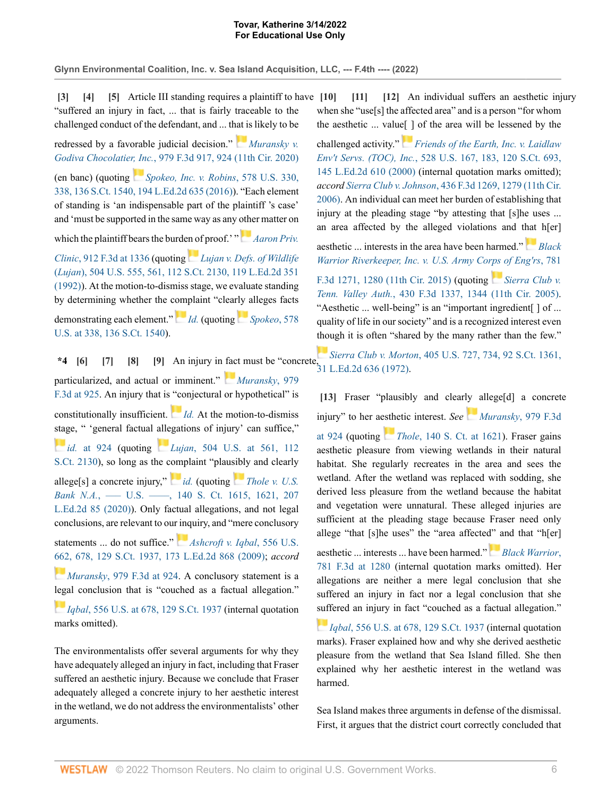**Glynn Environmental Coalition, Inc. v. Sea Island Acquisition, LLC, --- F.4th ---- (2022)**

**[3] [4] [5]** Article III standing requires a plaintiff to have "suffered an injury in fact, ... that is fairly traceable to the challenged conduct of the defendant, and ... that is likely to be redressed by a favorable judicial decision." *Muransky v. Godiva Chocolatier, Inc.*, 979 F.3d 917, 924 (11th Cir. 2020) (en banc) (quoting *Spokeo, Inc. v. Robins*, 578 U.S. 330, 338, 136 S.Ct. 1540, 194 L.Ed.2d 635 (2016)). "Each element of standing is 'an indispensable part of the plaintiff 's case' and 'must be supported in the same way as any other matter on which the plaintiff bears the burden of proof.' " *Aaron Priv. Clinic*, 912 F.3d at 1336 (quoting *Lujan v. Defs. of Wildlife* (*Lujan*), 504 U.S. 555, 561, 112 S.Ct. 2130, 119 L.Ed.2d 351 (1992)). At the motion-to-dismiss stage, we evaluate standing by determining whether the complaint "clearly alleges facts demonstrating each element." *Id.* (quoting *Spokeo*, 578 U.S. at 338, 136 S.Ct. 1540).

**\*4 [6] [7] [8] [9]** An injury in fact must be "concrete, 31 L.Ed.2d 636 (1972). particularized, and actual or imminent." *Muransky*, 979 F.3d at 925. An injury that is "conjectural or hypothetical" is constitutionally insufficient. *Id.* At the motion-to-dismiss stage, " 'general factual allegations of injury' can suffice," *id.* at 924 (quoting *Lujan*, 504 U.S. at 561, 112 S.Ct. 2130), so long as the complaint "plausibly and clearly allege[s] a concrete injury," *id.* (quoting *Thole v. U.S. Bank N.A.*, — U.S. — , 140 S. Ct. 1615, 1621, 207 L.Ed.2d 85 (2020)). Only factual allegations, and not legal conclusions, are relevant to our inquiry, and "mere conclusory statements ... do not suffice." *Ashcroft v. Iqbal*, 556 U.S. 662, 678, 129 S.Ct. 1937, 173 L.Ed.2d 868 (2009); *accord Muransky*, 979 F.3d at 924. A conclusory statement is a legal conclusion that is "couched as a factual allegation." *Iqbal*, 556 U.S. at 678, 129 S.Ct. 1937 (internal quotation

The environmentalists offer several arguments for why they have adequately alleged an injury in fact, including that Fraser suffered an aesthetic injury. Because we conclude that Fraser adequately alleged a concrete injury to her aesthetic interest in the wetland, we do not address the environmentalists' other arguments.

marks omitted).

**[10] [11] [12]** An individual suffers an aesthetic injury when she "use[s] the affected area" and is a person "for whom the aesthetic ... value[ ] of the area will be lessened by the

challenged activity." *Friends of the Earth, Inc. v. Laidlaw Env't Servs. (TOC), Inc.*, 528 U.S. 167, 183, 120 S.Ct. 693, 145 L.Ed.2d 610 (2000) (internal quotation marks omitted); *accord Sierra Club v. Johnson*, 436 F.3d 1269, 1279 (11th Cir. 2006). An individual can meet her burden of establishing that injury at the pleading stage "by attesting that [s]he uses ... an area affected by the alleged violations and that h[er]

aesthetic ... interests in the area have been harmed." *Black Warrior Riverkeeper, Inc. v. U.S. Army Corps of Eng'rs*, 781 F.3d 1271, 1280 (11th Cir. 2015) (quoting *Sierra Club v. Tenn. Valley Auth.*, 430 F.3d 1337, 1344 (11th Cir. 2005). "Aesthetic ... well-being" is an "important ingredient[] of ... quality of life in our society" and is a recognized interest even though it is often "shared by the many rather than the few."

*Sierra Club v. Morton*, 405 U.S. 727, 734, 92 S.Ct. 1361,

[13] Fraser "plausibly and clearly allege<sup>[d]</sup> a concrete injury" to her aesthetic interest. *See Muransky*, 979 F.3d at 924 (quoting *Thole*, 140 S. Ct. at 1621). Fraser gains aesthetic pleasure from viewing wetlands in their natural habitat. She regularly recreates in the area and sees the wetland. After the wetland was replaced with sodding, she derived less pleasure from the wetland because the habitat and vegetation were unnatural. These alleged injuries are sufficient at the pleading stage because Fraser need only allege "that [s]he uses" the "area affected" and that "h[er]

aesthetic ... interests ... have been harmed." *Black Warrior*, 781 F.3d at 1280 (internal quotation marks omitted). Her allegations are neither a mere legal conclusion that she suffered an injury in fact nor a legal conclusion that she suffered an injury in fact "couched as a factual allegation."

*Iqbal*, 556 U.S. at 678, 129 S.Ct. 1937 (internal quotation marks). Fraser explained how and why she derived aesthetic pleasure from the wetland that Sea Island filled. She then explained why her aesthetic interest in the wetland was harmed.

Sea Island makes three arguments in defense of the dismissal. First, it argues that the district court correctly concluded that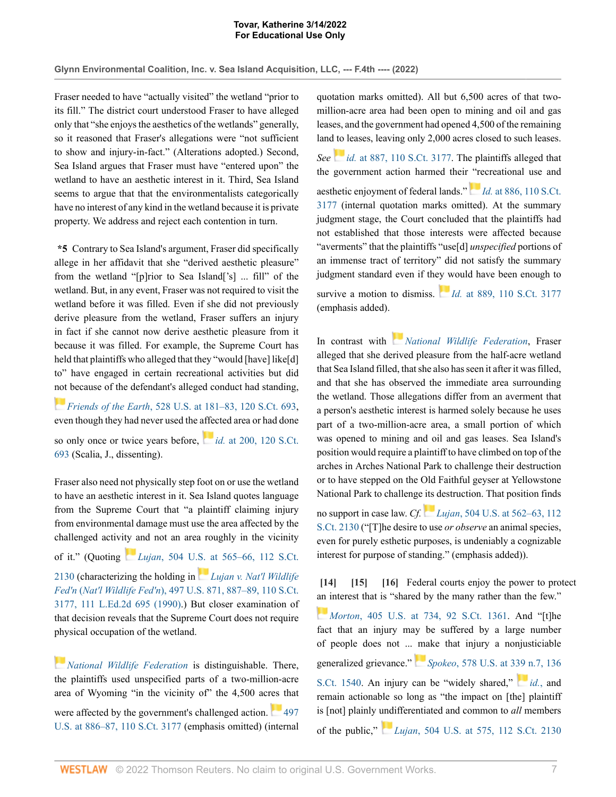**Glynn Environmental Coalition, Inc. v. Sea Island Acquisition, LLC, --- F.4th ---- (2022)**

Fraser needed to have "actually visited" the wetland "prior to its fill." The district court understood Fraser to have alleged only that "she enjoys the aesthetics of the wetlands" generally, so it reasoned that Fraser's allegations were "not sufficient to show and injury-in-fact." (Alterations adopted.) Second, Sea Island argues that Fraser must have "entered upon" the wetland to have an aesthetic interest in it. Third, Sea Island seems to argue that that the environmentalists categorically have no interest of any kind in the wetland because it is private property. We address and reject each contention in turn.

**\*5** Contrary to Sea Island's argument, Fraser did specifically allege in her affidavit that she "derived aesthetic pleasure" from the wetland "[p]rior to Sea Island['s] ... fill" of the wetland. But, in any event, Fraser was not required to visit the wetland before it was filled. Even if she did not previously derive pleasure from the wetland, Fraser suffers an injury in fact if she cannot now derive aesthetic pleasure from it because it was filled. For example, the Supreme Court has held that plaintiffs who alleged that they "would [have] like[d] to" have engaged in certain recreational activities but did not because of the defendant's alleged conduct had standing,

*Friends of the Earth*, 528 U.S. at 181–83, 120 S.Ct. 693, even though they had never used the affected area or had done

so only once or twice years before, *id.* at 200, 120 S.Ct. 693 (Scalia, J., dissenting).

Fraser also need not physically step foot on or use the wetland to have an aesthetic interest in it. Sea Island quotes language from the Supreme Court that "a plaintiff claiming injury from environmental damage must use the area affected by the challenged activity and not an area roughly in the vicinity of it." (Quoting *Lujan*, 504 U.S. at 565–66, 112 S.Ct. 2130 (characterizing the holding in *Lujan v. Nat'l Wildlife Fed'n* (*Nat'l Wildlife Fed'n*), 497 U.S. 871, 887–89, 110 S.Ct. 3177, 111 L.Ed.2d 695 (1990).) But closer examination of that decision reveals that the Supreme Court does not require physical occupation of the wetland.

*National Wildlife Federation* is distinguishable. There, the plaintiffs used unspecified parts of a two-million-acre area of Wyoming "in the vicinity of" the 4,500 acres that were affected by the government's challenged action. 497 U.S. at 886–87, 110 S.Ct. 3177 (emphasis omitted) (internal quotation marks omitted). All but 6,500 acres of that twomillion-acre area had been open to mining and oil and gas leases, and the government had opened 4,500 of the remaining land to leases, leaving only 2,000 acres closed to such leases.

*See id.* at 887, 110 S.Ct. 3177. The plaintiffs alleged that the government action harmed their "recreational use and aesthetic enjoyment of federal lands." *Id.* at 886, 110 S.Ct. 3177 (internal quotation marks omitted). At the summary judgment stage, the Court concluded that the plaintiffs had not established that those interests were affected because "averments" that the plaintiffs "use[d] *unspecified* portions of an immense tract of territory" did not satisfy the summary judgment standard even if they would have been enough to

survive a motion to dismiss.  $Id$ . at 889, 110 S.Ct. 3177 (emphasis added).

In contrast with *National Wildlife Federation*, Fraser alleged that she derived pleasure from the half-acre wetland that Sea Island filled, that she also has seen it after it was filled, and that she has observed the immediate area surrounding the wetland. Those allegations differ from an averment that a person's aesthetic interest is harmed solely because he uses part of a two-million-acre area, a small portion of which was opened to mining and oil and gas leases. Sea Island's position would require a plaintiff to have climbed on top of the arches in Arches National Park to challenge their destruction or to have stepped on the Old Faithful geyser at Yellowstone National Park to challenge its destruction. That position finds

no support in case law. *Cf. Lujan*, 504 U.S. at 562–63, 112 S.Ct. 2130 ("[T]he desire to use *or observe* an animal species, even for purely esthetic purposes, is undeniably a cognizable interest for purpose of standing." (emphasis added)).

**[14] [15] [16]** Federal courts enjoy the power to protect an interest that is "shared by the many rather than the few."

*Morton*, 405 U.S. at 734, 92 S.Ct. 1361. And "[t]he fact that an injury may be suffered by a large number of people does not ... make that injury a nonjusticiable generalized grievance." *Spokeo*, 578 U.S. at 339 n.7, 136 S.Ct. 1540. An injury can be "widely shared," *id.*, and remain actionable so long as "the impact on [the] plaintiff is [not] plainly undifferentiated and common to *all* members of the public," *Lujan*, 504 U.S. at 575, 112 S.Ct. 2130